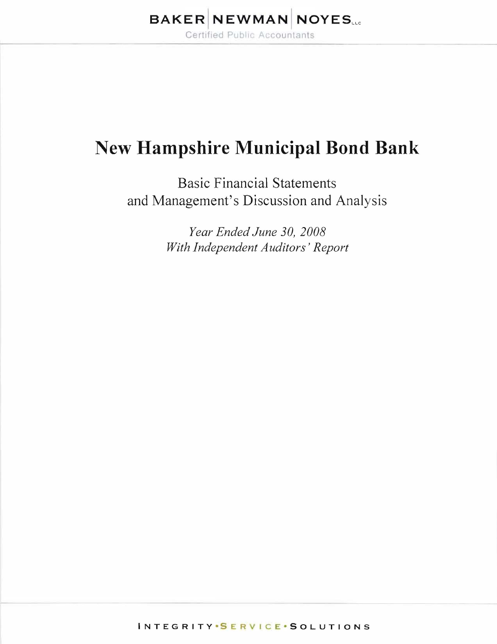# **New Hampshire Municipal Bond Bank**

Basic Financial Statements and Management's Discussion and Analysis

> *Year Ended June 30,2008 With Independent Auditors' Report*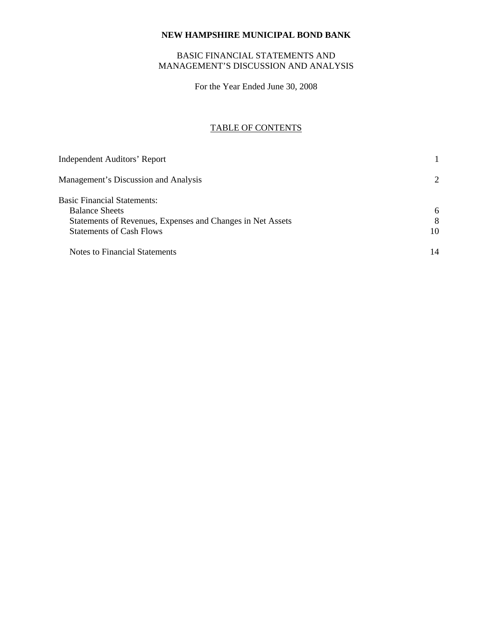# BASIC FINANCIAL STATEMENTS AND MANAGEMENT'S DISCUSSION AND ANALYSIS

For the Year Ended June 30, 2008

# TABLE OF CONTENTS

| <b>Independent Auditors' Report</b>                        |                       |
|------------------------------------------------------------|-----------------------|
| Management's Discussion and Analysis                       | $\mathcal{D}_{\cdot}$ |
| <b>Basic Financial Statements:</b>                         |                       |
| <b>Balance Sheets</b>                                      | 6                     |
| Statements of Revenues, Expenses and Changes in Net Assets | 8                     |
| <b>Statements of Cash Flows</b>                            | 10                    |
| Notes to Financial Statements                              | 14                    |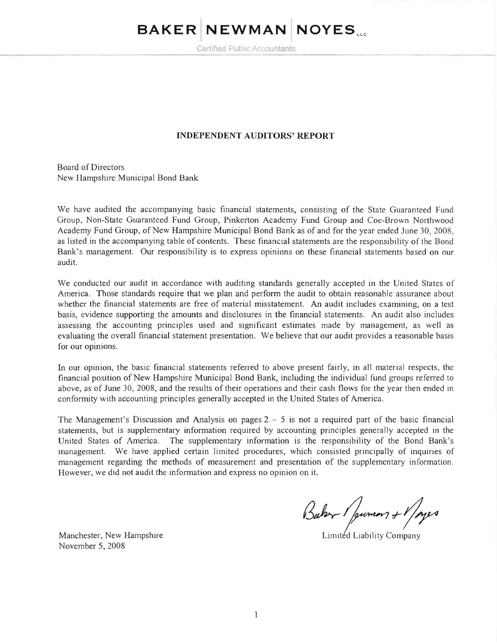# **BAKER NEWMAN NOYES...**

Certified Public Accountants

# **INDEPENDENT AUDITORS' REPORT**

Board of Directors New Hampshire Municipal Bond Bank

We have audited the accompanying basic financial statements, consisting of the State Guaranteed Fund Group, Non-State Guaranteed Fund Group, Pinkerton Academy Fund Group and Coe-Brown Northwood Academy Fund Group, of New Hampshire Municipal Bond Bank as of and for the year ended June 30,2008, as listed in the accompanying table of contents. These financial statements are the responsibility of the Bond Bank's management. Our responsibility is to express opinions on these financial statements based on our audit.

We conducted our audit in accordance with auditing standards generally accepted in the United States of America. Those standards require that we plan and perform the audit to obtain reasonable assurance about whether the financial statements are free of material misstatement. An audit includes examining, on a test basis, evidence supporting the amounts and disclosures in the financial statements. An audit also includes assessing the accounting principles used and significant estimates made by management, as well as evaluating the overall financial statement presentation. We believe that our audit provides a reasonable basis for our opinions.

In our opinion, the basic financial statements referred to above present fairly, in all material respects, the financial position of New Hampshire Municipal Bond Bank, including the individual fund groups referred to above, as of June 30, 2008, and the results of their operations and their cash flows for the year then ended in conformity with accounting principles generally accepted in the United States of America.

The Management's Discussion and Analysis on pages  $2 - 5$  is not a required part of the basic financial statements, but is supplementary information required by accounting principles generally accepted in the United States of America . The supplementary information is the responsibility of the Bond Bank's management. We have applied certain limited procedures, which consisted principally of inquiries of management regarding the methods of measurement and presentation of the supplementary information . However, we did not audit the information and express no opinion on it.

Baker / pumon + 1/1920

Limitéd Liability Company

Manchester, New Hampshire November 5, 2008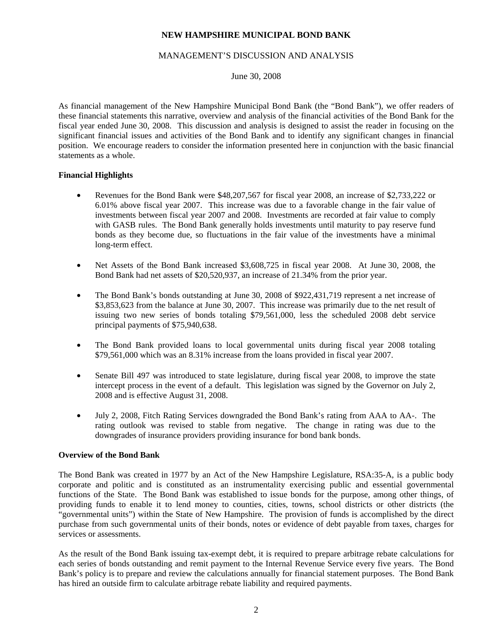## MANAGEMENT'S DISCUSSION AND ANALYSIS

June 30, 2008

As financial management of the New Hampshire Municipal Bond Bank (the "Bond Bank"), we offer readers of these financial statements this narrative, overview and analysis of the financial activities of the Bond Bank for the fiscal year ended June 30, 2008. This discussion and analysis is designed to assist the reader in focusing on the significant financial issues and activities of the Bond Bank and to identify any significant changes in financial position. We encourage readers to consider the information presented here in conjunction with the basic financial statements as a whole.

# **Financial Highlights**

- Revenues for the Bond Bank were \$48,207,567 for fiscal year 2008, an increase of \$2,733,222 or 6.01% above fiscal year 2007. This increase was due to a favorable change in the fair value of investments between fiscal year 2007 and 2008. Investments are recorded at fair value to comply with GASB rules. The Bond Bank generally holds investments until maturity to pay reserve fund bonds as they become due, so fluctuations in the fair value of the investments have a minimal long-term effect.
- Net Assets of the Bond Bank increased \$3,608,725 in fiscal year 2008. At June 30, 2008, the Bond Bank had net assets of \$20,520,937, an increase of 21.34% from the prior year.
- The Bond Bank's bonds outstanding at June 30, 2008 of \$922,431,719 represent a net increase of \$3,853,623 from the balance at June 30, 2007. This increase was primarily due to the net result of issuing two new series of bonds totaling \$79,561,000, less the scheduled 2008 debt service principal payments of \$75,940,638.
- The Bond Bank provided loans to local governmental units during fiscal year 2008 totaling \$79,561,000 which was an 8.31% increase from the loans provided in fiscal year 2007.
- Senate Bill 497 was introduced to state legislature, during fiscal year 2008, to improve the state intercept process in the event of a default. This legislation was signed by the Governor on July 2, 2008 and is effective August 31, 2008.
- July 2, 2008, Fitch Rating Services downgraded the Bond Bank's rating from AAA to AA-. The rating outlook was revised to stable from negative. The change in rating was due to the downgrades of insurance providers providing insurance for bond bank bonds.

#### **Overview of the Bond Bank**

The Bond Bank was created in 1977 by an Act of the New Hampshire Legislature, RSA:35-A, is a public body corporate and politic and is constituted as an instrumentality exercising public and essential governmental functions of the State. The Bond Bank was established to issue bonds for the purpose, among other things, of providing funds to enable it to lend money to counties, cities, towns, school districts or other districts (the "governmental units") within the State of New Hampshire. The provision of funds is accomplished by the direct purchase from such governmental units of their bonds, notes or evidence of debt payable from taxes, charges for services or assessments.

As the result of the Bond Bank issuing tax-exempt debt, it is required to prepare arbitrage rebate calculations for each series of bonds outstanding and remit payment to the Internal Revenue Service every five years. The Bond Bank's policy is to prepare and review the calculations annually for financial statement purposes. The Bond Bank has hired an outside firm to calculate arbitrage rebate liability and required payments.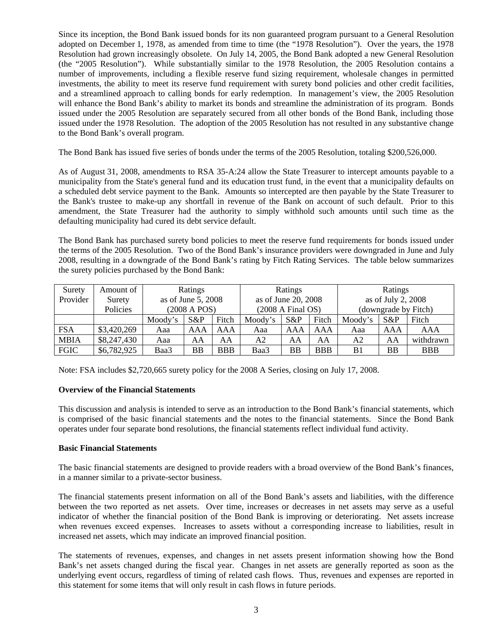Since its inception, the Bond Bank issued bonds for its non guaranteed program pursuant to a General Resolution adopted on December 1, 1978, as amended from time to time (the "1978 Resolution"). Over the years, the 1978 Resolution had grown increasingly obsolete. On July 14, 2005, the Bond Bank adopted a new General Resolution (the "2005 Resolution"). While substantially similar to the 1978 Resolution, the 2005 Resolution contains a number of improvements, including a flexible reserve fund sizing requirement, wholesale changes in permitted investments, the ability to meet its reserve fund requirement with surety bond policies and other credit facilities, and a streamlined approach to calling bonds for early redemption. In management's view, the 2005 Resolution will enhance the Bond Bank's ability to market its bonds and streamline the administration of its program. Bonds issued under the 2005 Resolution are separately secured from all other bonds of the Bond Bank, including those issued under the 1978 Resolution. The adoption of the 2005 Resolution has not resulted in any substantive change to the Bond Bank's overall program.

The Bond Bank has issued five series of bonds under the terms of the 2005 Resolution, totaling \$200,526,000.

As of August 31, 2008, amendments to RSA 35-A:24 allow the State Treasurer to intercept amounts payable to a municipality from the State's general fund and its education trust fund, in the event that a municipality defaults on a scheduled debt service payment to the Bank. Amounts so intercepted are then payable by the State Treasurer to the Bank's trustee to make-up any shortfall in revenue of the Bank on account of such default. Prior to this amendment, the State Treasurer had the authority to simply withhold such amounts until such time as the defaulting municipality had cured its debt service default.

The Bond Bank has purchased surety bond policies to meet the reserve fund requirements for bonds issued under the terms of the 2005 Resolution. Two of the Bond Bank's insurance providers were downgraded in June and July 2008, resulting in a downgrade of the Bond Bank's rating by Fitch Rating Services. The table below summarizes the surety policies purchased by the Bond Bank:

| Surety      | Amount of   | Ratings            |              | Ratings             |         | Ratings                     |            |                |                      |            |
|-------------|-------------|--------------------|--------------|---------------------|---------|-----------------------------|------------|----------------|----------------------|------------|
| Provider    | Surety      | as of June 5, 2008 |              | as of June 20, 2008 |         | as of July 2, 2008          |            |                |                      |            |
|             | Policies    |                    | (2008 A POS) |                     |         | $(2008 \text{ A Final OS})$ |            |                | (downgrade by Fitch) |            |
|             |             | Moody's            | $S\&P$       | Fitch               | Moody's | $S\&P$                      | Fitch      | Moody's        | $S\&P$               | Fitch      |
| <b>FSA</b>  | \$3,420,269 | Aaa                | AAA          | AAA                 | Aaa     | AAA                         | AAA        | Aaa            | AAA                  | AAA        |
| <b>MBIA</b> | \$8,247,430 | Aaa                | AA           | AA                  | A2      | AA                          | AA         | A <sub>2</sub> | AA                   | withdrawn  |
| <b>FGIC</b> | \$6,782,925 | Baa3               | BB           | <b>BBB</b>          | Baa3    | BB                          | <b>BBB</b> | B <sub>1</sub> | <b>BB</b>            | <b>BBB</b> |

Note: FSA includes \$2,720,665 surety policy for the 2008 A Series, closing on July 17, 2008.

#### **Overview of the Financial Statements**

This discussion and analysis is intended to serve as an introduction to the Bond Bank's financial statements, which is comprised of the basic financial statements and the notes to the financial statements. Since the Bond Bank operates under four separate bond resolutions, the financial statements reflect individual fund activity.

#### **Basic Financial Statements**

The basic financial statements are designed to provide readers with a broad overview of the Bond Bank's finances, in a manner similar to a private-sector business.

The financial statements present information on all of the Bond Bank's assets and liabilities, with the difference between the two reported as net assets. Over time, increases or decreases in net assets may serve as a useful indicator of whether the financial position of the Bond Bank is improving or deteriorating. Net assets increase when revenues exceed expenses. Increases to assets without a corresponding increase to liabilities, result in increased net assets, which may indicate an improved financial position.

The statements of revenues, expenses, and changes in net assets present information showing how the Bond Bank's net assets changed during the fiscal year. Changes in net assets are generally reported as soon as the underlying event occurs, regardless of timing of related cash flows. Thus, revenues and expenses are reported in this statement for some items that will only result in cash flows in future periods.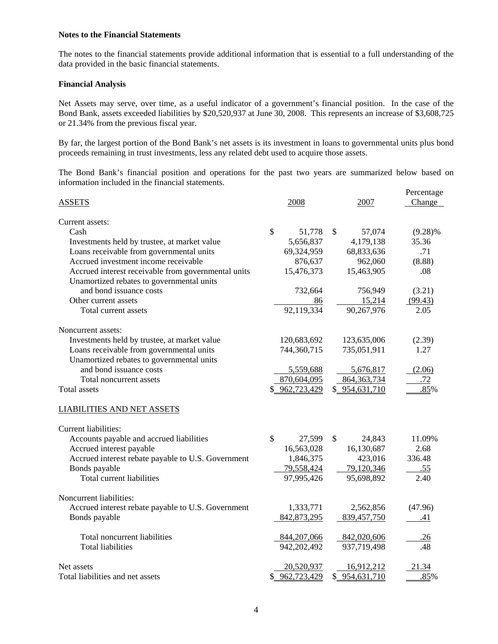#### **Notes to the Financial Statements**

The notes to the financial statements provide additional information that is essential to a full understanding of the data provided in the basic financial statements.

#### **Financial Analysis**

Net Assets may serve, over time, as a useful indicator of a government's financial position. In the case of the Bond Bank, assets exceeded liabilities by \$20,520,937 at June 30, 2008. This represents an increase of \$3,608,725 or 21.34% from the previous fiscal year.

By far, the largest portion of the Bond Bank's net assets is its investment in loans to governmental units plus bond proceeds remaining in trust investments, less any related debt used to acquire those assets.

The Bond Bank's financial position and operations for the past two years are summarized below based on information included in the financial statements.

|                                                                                                  |                         |                | Percentage |
|--------------------------------------------------------------------------------------------------|-------------------------|----------------|------------|
| <b>ASSETS</b>                                                                                    | 2008                    | 2007           | Change     |
| Current assets:                                                                                  |                         |                |            |
| Cash                                                                                             | $\mathcal{S}$<br>51,778 | \$<br>57,074   | $(9.28)\%$ |
| Investments held by trustee, at market value                                                     | 5,656,837               | 4,179,138      | 35.36      |
| Loans receivable from governmental units                                                         | 69,324,959              | 68,833,636     | .71        |
| Accrued investment income receivable                                                             | 876,637                 | 962,060        | (8.88)     |
| Accrued interest receivable from governmental units<br>Unamortized rebates to governmental units | 15,476,373              | 15,463,905     | .08        |
| and bond issuance costs                                                                          | 732,664                 | 756,949        | (3.21)     |
| Other current assets                                                                             | 86                      | 15,214         | (99.43)    |
| Total current assets                                                                             | 92,119,334              | 90,267,976     | 2.05       |
| Noncurrent assets:                                                                               |                         |                |            |
| Investments held by trustee, at market value                                                     | 120,683,692             | 123,635,006    | (2.39)     |
| Loans receivable from governmental units                                                         | 744,360,715             | 735,051,911    | 1.27       |
| Unamortized rebates to governmental units                                                        |                         |                |            |
| and bond issuance costs                                                                          | 5,559,688               | 5,676,817      | (2.06)     |
| Total noncurrent assets                                                                          | 870,604,095             | 864, 363, 734  | .72        |
| Total assets                                                                                     | \$ 962,723,429          | \$ 954,631,710 | .85%       |
| <b>LIABILITIES AND NET ASSETS</b>                                                                |                         |                |            |
| Current liabilities:                                                                             |                         |                |            |
| Accounts payable and accrued liabilities                                                         | $\mathcal{S}$<br>27,599 | \$<br>24,843   | 11.09%     |
| Accrued interest payable                                                                         | 16,563,028              | 16,130,687     | 2.68       |
| Accrued interest rebate payable to U.S. Government                                               | 1,846,375               | 423,016        | 336.48     |
| Bonds payable                                                                                    | 79,558,424              | 79,120,346     | <u>.55</u> |
| Total current liabilities                                                                        | 97,995,426              | 95,698,892     | 2.40       |
| Noncurrent liabilities:                                                                          |                         |                |            |
| Accrued interest rebate payable to U.S. Government                                               | 1,333,771               | 2,562,856      | (47.96)    |
| Bonds payable                                                                                    | 842, 873, 295           | 839,457,750    | .41        |
| Total noncurrent liabilities                                                                     | 844,207,066             | 842,020,606    | .26        |
| <b>Total liabilities</b>                                                                         | 942,202,492             | 937,719,498    | .48        |
| Net assets                                                                                       | 20,520,937              | 16,912,212     | 21.34      |
| Total liabilities and net assets                                                                 | \$962,723,429           | \$ 954,631,710 | .85%       |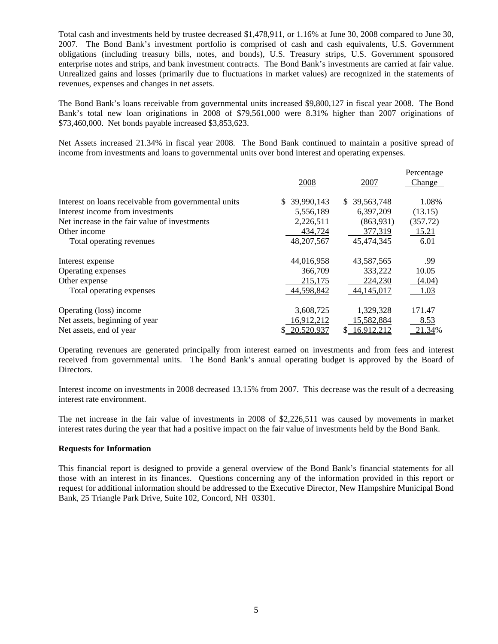Total cash and investments held by trustee decreased \$1,478,911, or 1.16% at June 30, 2008 compared to June 30, 2007. The Bond Bank's investment portfolio is comprised of cash and cash equivalents, U.S. Government obligations (including treasury bills, notes, and bonds), U.S. Treasury strips, U.S. Government sponsored enterprise notes and strips, and bank investment contracts. The Bond Bank's investments are carried at fair value. Unrealized gains and losses (primarily due to fluctuations in market values) are recognized in the statements of revenues, expenses and changes in net assets.

The Bond Bank's loans receivable from governmental units increased \$9,800,127 in fiscal year 2008. The Bond Bank's total new loan originations in 2008 of \$79,561,000 were 8.31% higher than 2007 originations of \$73,460,000. Net bonds payable increased \$3,853,623.

Net Assets increased 21.34% in fiscal year 2008. The Bond Bank continued to maintain a positive spread of income from investments and loans to governmental units over bond interest and operating expenses.

|                                                      | 2008             | 2007              | Percentage<br>Change |
|------------------------------------------------------|------------------|-------------------|----------------------|
| Interest on loans receivable from governmental units | 39,990,143<br>S  | 39,563,748<br>\$. | 1.08%                |
| Interest income from investments                     | 5,556,189        | 6,397,209         | (13.15)              |
| Net increase in the fair value of investments        | 2,226,511        | (863, 931)        | (357.72)             |
| Other income                                         | 434,724          | 377,319           | 15.21                |
| Total operating revenues                             | 48, 207, 567     | 45,474,345        | 6.01                 |
| Interest expense                                     | 44,016,958       | 43,587,565        | .99                  |
| Operating expenses                                   | 366,709          | 333,222           | 10.05                |
| Other expense                                        | 215.175          | 224,230           | (4.04)               |
| Total operating expenses                             | 44,598,842       | 44, 145, 017      | 1.03                 |
| Operating (loss) income                              | 3,608,725        | 1,329,328         | 171.47               |
| Net assets, beginning of year                        | 16,912,212       | 15,582,884        | 8.53                 |
| Net assets, end of year                              | 20,520,937<br>S. | 16,912,212<br>S.  | 21.34%               |

Operating revenues are generated principally from interest earned on investments and from fees and interest received from governmental units. The Bond Bank's annual operating budget is approved by the Board of Directors.

Interest income on investments in 2008 decreased 13.15% from 2007. This decrease was the result of a decreasing interest rate environment.

The net increase in the fair value of investments in 2008 of \$2,226,511 was caused by movements in market interest rates during the year that had a positive impact on the fair value of investments held by the Bond Bank.

#### **Requests for Information**

This financial report is designed to provide a general overview of the Bond Bank's financial statements for all those with an interest in its finances. Questions concerning any of the information provided in this report or request for additional information should be addressed to the Executive Director, New Hampshire Municipal Bond Bank, 25 Triangle Park Drive, Suite 102, Concord, NH 03301.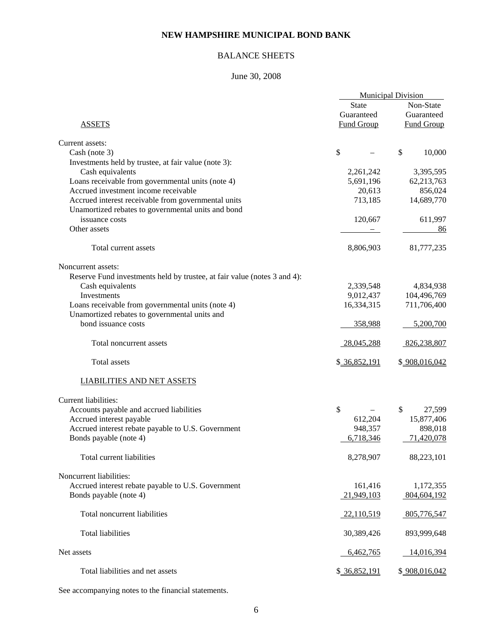# BALANCE SHEETS

# June 30, 2008

|                                                                                           | <b>Municipal Division</b> |                   |  |
|-------------------------------------------------------------------------------------------|---------------------------|-------------------|--|
|                                                                                           | <b>State</b>              | Non-State         |  |
|                                                                                           | Guaranteed                | Guaranteed        |  |
| <b>ASSETS</b>                                                                             | <b>Fund Group</b>         | <b>Fund Group</b> |  |
| Current assets:                                                                           |                           |                   |  |
| Cash (note 3)                                                                             | \$                        | \$<br>10,000      |  |
|                                                                                           |                           |                   |  |
| Investments held by trustee, at fair value (note 3):                                      |                           |                   |  |
| Cash equivalents                                                                          | 2,261,242                 | 3,395,595         |  |
| Loans receivable from governmental units (note 4)<br>Accrued investment income receivable | 5,691,196                 | 62,213,763        |  |
|                                                                                           | 20,613                    | 856,024           |  |
| Accrued interest receivable from governmental units                                       | 713,185                   | 14,689,770        |  |
| Unamortized rebates to governmental units and bond                                        |                           |                   |  |
| issuance costs                                                                            | 120,667                   | 611,997           |  |
| Other assets                                                                              |                           | 86                |  |
| Total current assets                                                                      | 8,806,903                 | 81,777,235        |  |
| Noncurrent assets:                                                                        |                           |                   |  |
| Reserve Fund investments held by trustee, at fair value (notes 3 and 4):                  |                           |                   |  |
| Cash equivalents                                                                          | 2,339,548                 | 4,834,938         |  |
| Investments                                                                               | 9,012,437                 | 104,496,769       |  |
| Loans receivable from governmental units (note 4)                                         | 16,334,315                | 711,706,400       |  |
| Unamortized rebates to governmental units and                                             |                           |                   |  |
| bond issuance costs                                                                       | 358,988                   | 5,200,700         |  |
| Total noncurrent assets                                                                   | 28,045,288                | 826,238,807       |  |
| Total assets                                                                              | \$ 36,852,191             | \$908,016,042     |  |
| <b>LIABILITIES AND NET ASSETS</b>                                                         |                           |                   |  |
| Current liabilities:                                                                      |                           |                   |  |
| Accounts payable and accrued liabilities                                                  | \$                        | \$<br>27,599      |  |
| Accrued interest payable                                                                  | 612,204                   | 15,877,406        |  |
| Accrued interest rebate payable to U.S. Government                                        | 948,357                   | 898,018           |  |
| Bonds payable (note 4)                                                                    | 6,718,346                 | 71,420,078        |  |
|                                                                                           |                           |                   |  |
| Total current liabilities                                                                 | 8,278,907                 | 88,223,101        |  |
| Noncurrent liabilities:                                                                   |                           |                   |  |
| Accrued interest rebate payable to U.S. Government                                        | 161,416                   | 1,172,355         |  |
| Bonds payable (note 4)                                                                    | 21,949,103                | 804,604,192       |  |
|                                                                                           |                           |                   |  |
| Total noncurrent liabilities                                                              | 22,110,519                | 805,776,547       |  |
| <b>Total liabilities</b>                                                                  | 30,389,426                | 893,999,648       |  |
| Net assets                                                                                | 6,462,765                 | 14,016,394        |  |
| Total liabilities and net assets                                                          | \$ 36,852,191             | \$908,016,042     |  |

See accompanying notes to the financial statements.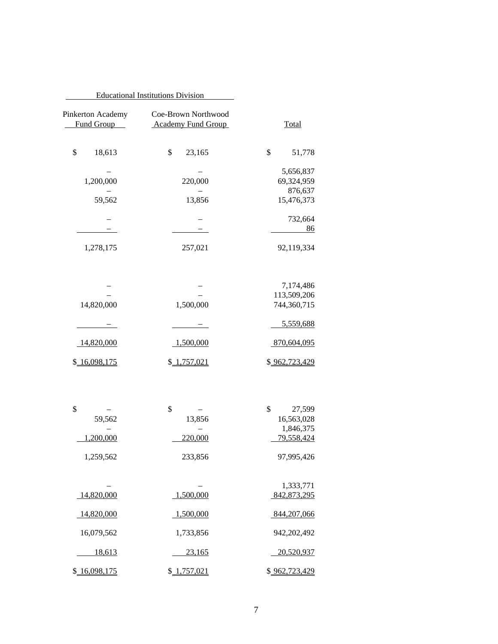|                                         | <b>Educational Institutions Division</b>         |                                 |
|-----------------------------------------|--------------------------------------------------|---------------------------------|
| <b>Total</b>                            | Coe-Brown Northwood<br><b>Academy Fund Group</b> | Pinkerton Academy<br>Fund Group |
| \$<br>51,778                            | \$<br>23,165                                     | \$<br>18,613                    |
| 5,656,837<br>69,324,959                 | 220,000                                          | 1,200,000                       |
| 876,637<br>15,476,373                   | 13,856                                           | 59,562                          |
| 732,664<br>86                           |                                                  |                                 |
| 92,119,334                              | 257,021                                          | 1,278,175                       |
| 7,174,486<br>113,509,206<br>744,360,715 | 1,500,000                                        | 14,820,000                      |
| 5,559,688                               |                                                  |                                 |
| 870,604,095                             | 1,500,000                                        | 14,820,000                      |
| \$962,723,429                           | \$1,757,021                                      | \$ 16,098,175                   |
| \$<br>27,599                            | \$                                               | \$                              |
| 16,563,028<br>1,846,375                 | 13,856                                           | 59,562                          |
| 79,558,424                              | 220,000                                          | 1,200,000                       |
| 97,995,426                              | 233,856                                          | 1,259,562                       |
| 1,333,771<br>842,873,295                | 1,500,000                                        | 14,820,000                      |
| 844,207,066                             | 1,500,000                                        | 14,820,000                      |
| 942,202,492                             | 1,733,856                                        | 16,079,562                      |
| 20,520,937                              | 23,165                                           | 18,613                          |
| \$962,723,429                           | \$ 1,757,021                                     | \$ 16,098,175                   |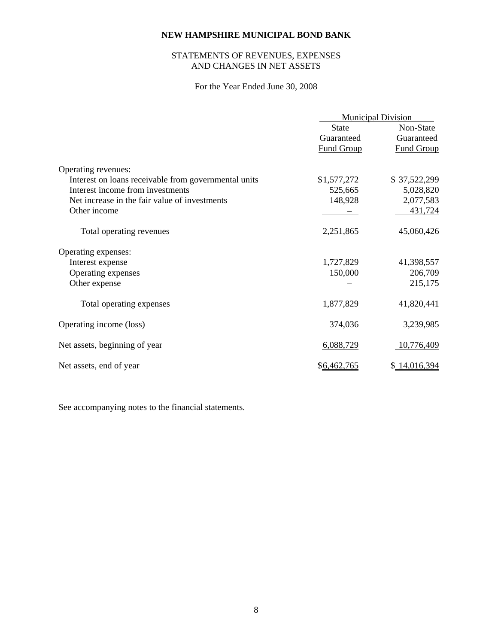# STATEMENTS OF REVENUES, EXPENSES AND CHANGES IN NET ASSETS

# For the Year Ended June 30, 2008

|                                                      | <b>Municipal Division</b> |                   |
|------------------------------------------------------|---------------------------|-------------------|
|                                                      | <b>State</b>              | Non-State         |
|                                                      | Guaranteed                | Guaranteed        |
|                                                      | <b>Fund Group</b>         | <b>Fund Group</b> |
| Operating revenues:                                  |                           |                   |
| Interest on loans receivable from governmental units | \$1,577,272               | \$37,522,299      |
| Interest income from investments                     | 525,665                   | 5,028,820         |
| Net increase in the fair value of investments        | 148,928                   | 2,077,583         |
| Other income                                         |                           | 431,724           |
| Total operating revenues                             | 2,251,865                 | 45,060,426        |
| Operating expenses:                                  |                           |                   |
| Interest expense                                     | 1,727,829                 | 41,398,557        |
| Operating expenses                                   | 150,000                   | 206,709           |
| Other expense                                        |                           | 215,175           |
| Total operating expenses                             | 1,877,829                 | 41,820,441        |
| Operating income (loss)                              | 374,036                   | 3,239,985         |
| Net assets, beginning of year                        | 6,088,729                 | 10,776,409        |
| Net assets, end of year                              | \$6,462,765               | \$ 14,016,394     |

See accompanying notes to the financial statements.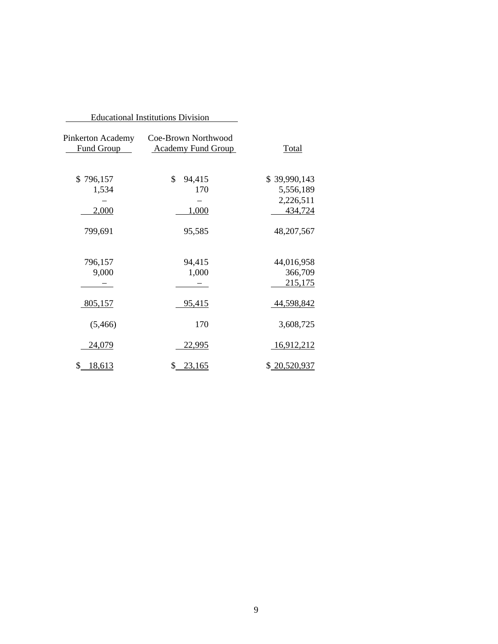|                                        | <b>Educational Institutions Division</b>         |                                                                 |
|----------------------------------------|--------------------------------------------------|-----------------------------------------------------------------|
| Pinkerton Academy<br>Fund Group        | Coe-Brown Northwood<br><b>Academy Fund Group</b> | <b>Total</b>                                                    |
| \$796,157<br>1,534<br>2,000<br>799,691 | \$<br>94,415<br>170<br>1,000<br>95,585           | \$39,990,143<br>5,556,189<br>2,226,511<br>434,724<br>48,207,567 |
| 796,157<br>9,000                       | 94,415<br>1,000                                  | 44,016,958<br>366,709<br>215,175                                |
| 805,157<br>(5,466)                     | 95,415<br>170                                    | 44,598,842<br>3,608,725                                         |
| 24,079                                 | <u>22,995</u>                                    | <u>16,912,212</u>                                               |
| \$<br>18,613                           | \$<br>23,165                                     | \$20,520,937                                                    |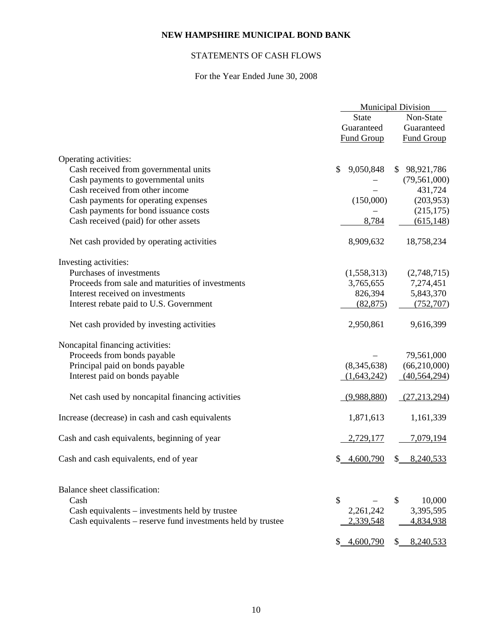# STATEMENTS OF CASH FLOWS

# For the Year Ended June 30, 2008

|                                                             | <b>Municipal Division</b> |                                |  |
|-------------------------------------------------------------|---------------------------|--------------------------------|--|
|                                                             | <b>State</b>              | Non-State                      |  |
|                                                             | Guaranteed                | Guaranteed                     |  |
|                                                             | <b>Fund Group</b>         | <b>Fund Group</b>              |  |
|                                                             |                           |                                |  |
| Operating activities:                                       |                           |                                |  |
| Cash received from governmental units                       | 9,050,848<br>\$           | \$98,921,786                   |  |
| Cash payments to governmental units                         |                           | (79, 561, 000)                 |  |
| Cash received from other income                             |                           | 431,724                        |  |
| Cash payments for operating expenses                        | (150,000)                 | (203, 953)                     |  |
| Cash payments for bond issuance costs                       |                           | (215, 175)                     |  |
| Cash received (paid) for other assets                       | 8,784                     | (615, 148)                     |  |
|                                                             |                           |                                |  |
| Net cash provided by operating activities                   | 8,909,632                 | 18,758,234                     |  |
| Investing activities:                                       |                           |                                |  |
| Purchases of investments                                    | (1,558,313)               | (2,748,715)                    |  |
| Proceeds from sale and maturities of investments            | 3,765,655                 | 7,274,451                      |  |
| Interest received on investments                            | 826,394                   | 5,843,370                      |  |
| Interest rebate paid to U.S. Government                     | (82, 875)                 | (752, 707)                     |  |
|                                                             |                           |                                |  |
| Net cash provided by investing activities                   | 2,950,861                 | 9,616,399                      |  |
| Noncapital financing activities:                            |                           |                                |  |
| Proceeds from bonds payable                                 |                           | 79,561,000                     |  |
| Principal paid on bonds payable                             | (8,345,638)               | (66,210,000)                   |  |
| Interest paid on bonds payable                              | (1,643,242)               | (40, 564, 294)                 |  |
|                                                             |                           |                                |  |
| Net cash used by noncapital financing activities            | (9,988,880)               | (27, 213, 294)                 |  |
| Increase (decrease) in cash and cash equivalents            | 1,871,613                 | 1,161,339                      |  |
| Cash and cash equivalents, beginning of year                | 2,729,177                 | 7,079,194                      |  |
| Cash and cash equivalents, end of year                      | 4,600,790                 | 8,240,533<br>$\mathcal{S}_{-}$ |  |
|                                                             |                           |                                |  |
| Balance sheet classification:                               |                           |                                |  |
| Cash                                                        | \$                        | \$<br>10,000                   |  |
| Cash equivalents – investments held by trustee              | 2,261,242                 | 3,395,595                      |  |
| Cash equivalents – reserve fund investments held by trustee | 2,339,548                 | 4,834,938                      |  |
|                                                             | \$4,600,790               | 8,240,533<br>$S_{-}$           |  |
|                                                             |                           |                                |  |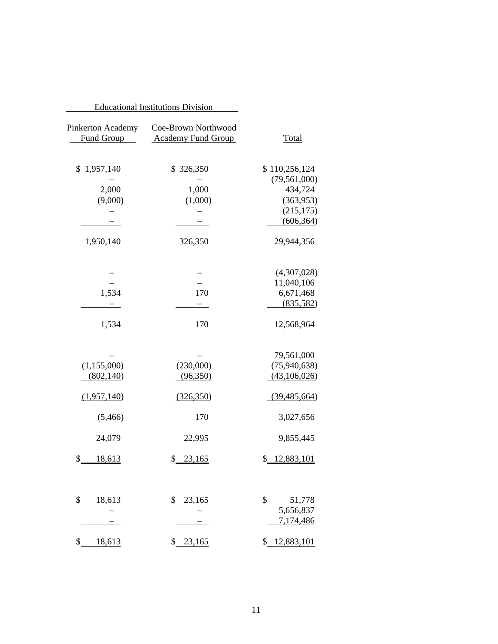|                                 | <b>Educational Institutions Division</b>         |                                 |
|---------------------------------|--------------------------------------------------|---------------------------------|
| Pinkerton Academy<br>Fund Group | Coe-Brown Northwood<br><b>Academy Fund Group</b> | <b>Total</b>                    |
| \$1,957,140                     | \$326,350                                        | \$110,256,124<br>(79, 561, 000) |
| 2,000                           | 1,000                                            | 434,724                         |
| (9,000)                         | (1,000)                                          | (363,953)                       |
|                                 |                                                  | (215, 175)                      |
|                                 |                                                  | (606, 364)                      |
| 1,950,140                       | 326,350                                          | 29,944,356                      |
|                                 |                                                  | (4,307,028)                     |
|                                 |                                                  | 11,040,106                      |
| 1,534                           | 170                                              | 6,671,468                       |
|                                 |                                                  | (835,582)                       |
| 1,534                           | 170                                              | 12,568,964                      |
|                                 |                                                  | 79,561,000                      |
| (1, 155, 000)                   | (230,000)                                        | (75,940,638)                    |
| (802, 140)                      | (96,350)                                         | (43,106,026)                    |
| (1,957,140)                     | (326,350)                                        | (39, 485, 664)                  |
| (5,466)                         | 170                                              | 3,027,656                       |
| 24,079                          | <u>22,995</u>                                    | 9,855,445                       |
| \$<br>18,613                    | \$23,165                                         | \$12,883,101                    |
| \$<br>18,613                    | \$<br>23,165                                     | \$<br>51,778                    |
|                                 |                                                  | 5,656,837                       |
|                                 |                                                  | 7,174,486                       |
| $\frac{1}{2}$<br>18,613         | \$23,165                                         | \$12,883,101                    |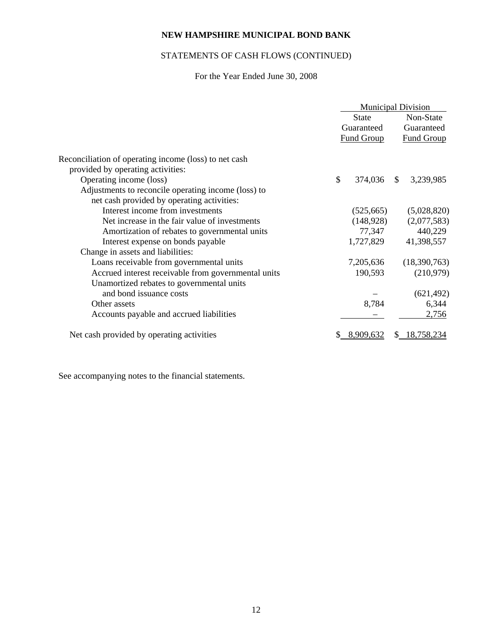# STATEMENTS OF CASH FLOWS (CONTINUED)

# For the Year Ended June 30, 2008

|                                                       | <b>Municipal Division</b> |                   |               |                   |
|-------------------------------------------------------|---------------------------|-------------------|---------------|-------------------|
|                                                       | <b>State</b>              |                   |               | Non-State         |
|                                                       |                           | Guaranteed        |               | Guaranteed        |
|                                                       |                           | <b>Fund Group</b> |               | <b>Fund Group</b> |
| Reconciliation of operating income (loss) to net cash |                           |                   |               |                   |
| provided by operating activities:                     |                           |                   |               |                   |
| Operating income (loss)                               | \$                        | 374,036           | <sup>\$</sup> | 3,239,985         |
| Adjustments to reconcile operating income (loss) to   |                           |                   |               |                   |
| net cash provided by operating activities:            |                           |                   |               |                   |
| Interest income from investments                      |                           | (525, 665)        |               | (5,028,820)       |
| Net increase in the fair value of investments         |                           | (148,928)         |               | (2,077,583)       |
| Amortization of rebates to governmental units         |                           | 77,347            |               | 440,229           |
| Interest expense on bonds payable                     |                           | 1,727,829         |               | 41,398,557        |
| Change in assets and liabilities:                     |                           |                   |               |                   |
| Loans receivable from governmental units              |                           | 7,205,636         |               | (18,390,763)      |
| Accrued interest receivable from governmental units   |                           | 190,593           |               | (210,979)         |
| Unamortized rebates to governmental units             |                           |                   |               |                   |
| and bond issuance costs                               |                           |                   |               | (621, 492)        |
| Other assets                                          |                           | 8,784             |               | 6,344             |
| Accounts payable and accrued liabilities              |                           |                   |               | 2,756             |
| Net cash provided by operating activities             |                           | 8.909.632         |               | 8,758,234         |

See accompanying notes to the financial statements.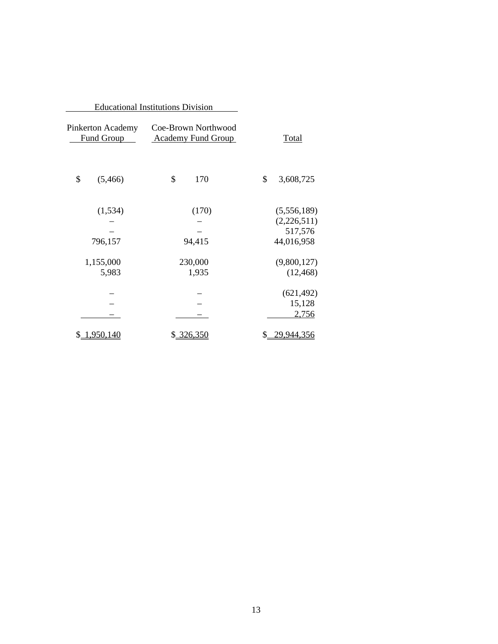|                                 | <b>Educational Institutions Division</b>         |                       |
|---------------------------------|--------------------------------------------------|-----------------------|
| Pinkerton Academy<br>Fund Group | Coe-Brown Northwood<br><b>Academy Fund Group</b> | <b>Total</b>          |
| \$<br>(5,466)                   | \$<br>170                                        | \$<br>3,608,725       |
| (1, 534)                        | (170)                                            | (5,556,189)           |
|                                 |                                                  | (2,226,511)           |
| 796,157                         | 94,415                                           | 517,576<br>44,016,958 |
|                                 |                                                  |                       |
| 1,155,000                       | 230,000                                          | (9,800,127)           |
| 5,983                           | 1,935                                            | (12, 468)             |
|                                 |                                                  |                       |
|                                 |                                                  | (621, 492)            |
|                                 |                                                  | 15,128                |
|                                 |                                                  | 2,756                 |
| \$1,950,140                     | \$ 326,350                                       | 29,944,356            |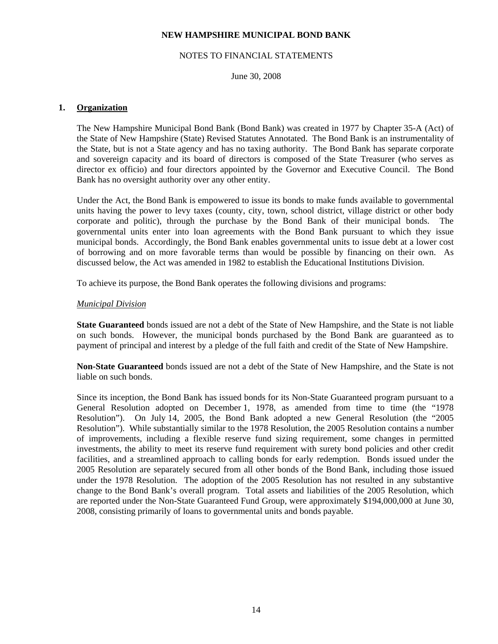## NOTES TO FINANCIAL STATEMENTS

June 30, 2008

# **1. Organization**

 The New Hampshire Municipal Bond Bank (Bond Bank) was created in 1977 by Chapter 35-A (Act) of the State of New Hampshire (State) Revised Statutes Annotated. The Bond Bank is an instrumentality of the State, but is not a State agency and has no taxing authority. The Bond Bank has separate corporate and sovereign capacity and its board of directors is composed of the State Treasurer (who serves as director ex officio) and four directors appointed by the Governor and Executive Council. The Bond Bank has no oversight authority over any other entity.

 Under the Act, the Bond Bank is empowered to issue its bonds to make funds available to governmental units having the power to levy taxes (county, city, town, school district, village district or other body corporate and politic), through the purchase by the Bond Bank of their municipal bonds. The governmental units enter into loan agreements with the Bond Bank pursuant to which they issue municipal bonds. Accordingly, the Bond Bank enables governmental units to issue debt at a lower cost of borrowing and on more favorable terms than would be possible by financing on their own. As discussed below, the Act was amended in 1982 to establish the Educational Institutions Division.

To achieve its purpose, the Bond Bank operates the following divisions and programs:

## *Municipal Division*

 **State Guaranteed** bonds issued are not a debt of the State of New Hampshire, and the State is not liable on such bonds. However, the municipal bonds purchased by the Bond Bank are guaranteed as to payment of principal and interest by a pledge of the full faith and credit of the State of New Hampshire.

 **Non-State Guaranteed** bonds issued are not a debt of the State of New Hampshire, and the State is not liable on such bonds.

 Since its inception, the Bond Bank has issued bonds for its Non-State Guaranteed program pursuant to a General Resolution adopted on December 1, 1978, as amended from time to time (the "1978 Resolution"). On July 14, 2005, the Bond Bank adopted a new General Resolution (the "2005 Resolution"). While substantially similar to the 1978 Resolution, the 2005 Resolution contains a number of improvements, including a flexible reserve fund sizing requirement, some changes in permitted investments, the ability to meet its reserve fund requirement with surety bond policies and other credit facilities, and a streamlined approach to calling bonds for early redemption. Bonds issued under the 2005 Resolution are separately secured from all other bonds of the Bond Bank, including those issued under the 1978 Resolution. The adoption of the 2005 Resolution has not resulted in any substantive change to the Bond Bank's overall program. Total assets and liabilities of the 2005 Resolution, which are reported under the Non-State Guaranteed Fund Group, were approximately \$194,000,000 at June 30, 2008, consisting primarily of loans to governmental units and bonds payable.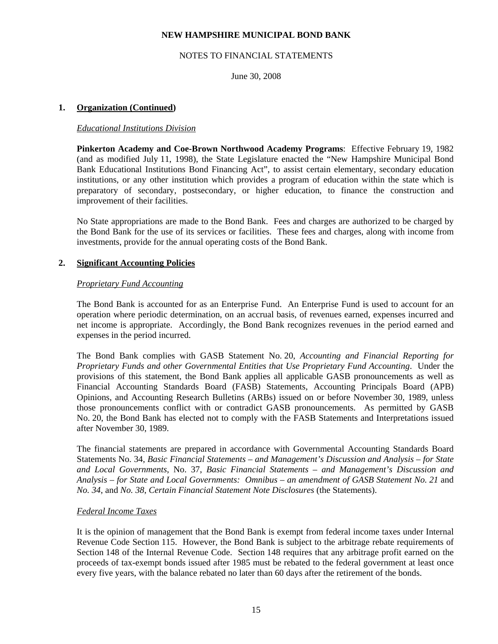# NOTES TO FINANCIAL STATEMENTS

June 30, 2008

# **1. Organization (Continued)**

#### *Educational Institutions Division*

 **Pinkerton Academy and Coe-Brown Northwood Academy Programs**: Effective February 19, 1982 (and as modified July 11, 1998), the State Legislature enacted the "New Hampshire Municipal Bond Bank Educational Institutions Bond Financing Act", to assist certain elementary, secondary education institutions, or any other institution which provides a program of education within the state which is preparatory of secondary, postsecondary, or higher education, to finance the construction and improvement of their facilities.

 No State appropriations are made to the Bond Bank. Fees and charges are authorized to be charged by the Bond Bank for the use of its services or facilities. These fees and charges, along with income from investments, provide for the annual operating costs of the Bond Bank.

## **2. Significant Accounting Policies**

## *Proprietary Fund Accounting*

 The Bond Bank is accounted for as an Enterprise Fund. An Enterprise Fund is used to account for an operation where periodic determination, on an accrual basis, of revenues earned, expenses incurred and net income is appropriate. Accordingly, the Bond Bank recognizes revenues in the period earned and expenses in the period incurred.

 The Bond Bank complies with GASB Statement No. 20, *Accounting and Financial Reporting for Proprietary Funds and other Governmental Entities that Use Proprietary Fund Accounting*. Under the provisions of this statement, the Bond Bank applies all applicable GASB pronouncements as well as Financial Accounting Standards Board (FASB) Statements, Accounting Principals Board (APB) Opinions, and Accounting Research Bulletins (ARBs) issued on or before November 30, 1989, unless those pronouncements conflict with or contradict GASB pronouncements. As permitted by GASB No. 20, the Bond Bank has elected not to comply with the FASB Statements and Interpretations issued after November 30, 1989.

 The financial statements are prepared in accordance with Governmental Accounting Standards Board Statements No. 34, *Basic Financial Statements – and Management's Discussion and Analysis – for State and Local Governments*, No. 37, *Basic Financial Statements – and Management's Discussion and Analysis – for State and Local Governments: Omnibus – an amendment of GASB Statement No. 21* and *No. 34*, and *No. 38*, *Certain Financial Statement Note Disclosures* (the Statements).

#### *Federal Income Taxes*

 It is the opinion of management that the Bond Bank is exempt from federal income taxes under Internal Revenue Code Section 115. However, the Bond Bank is subject to the arbitrage rebate requirements of Section 148 of the Internal Revenue Code. Section 148 requires that any arbitrage profit earned on the proceeds of tax-exempt bonds issued after 1985 must be rebated to the federal government at least once every five years, with the balance rebated no later than 60 days after the retirement of the bonds.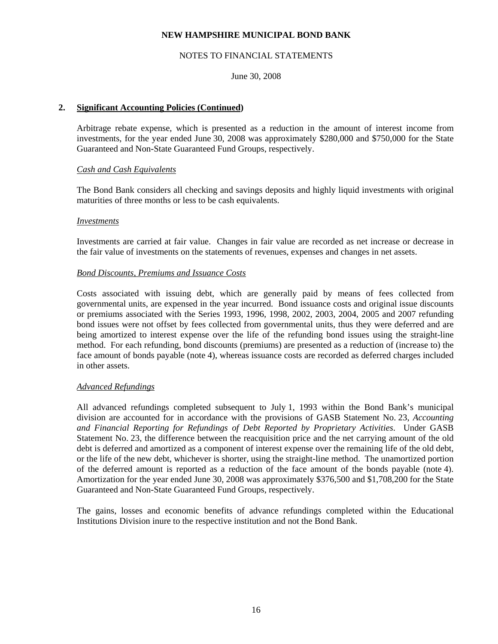## NOTES TO FINANCIAL STATEMENTS

## June 30, 2008

# **2. Significant Accounting Policies (Continued)**

 Arbitrage rebate expense, which is presented as a reduction in the amount of interest income from investments, for the year ended June 30, 2008 was approximately \$280,000 and \$750,000 for the State Guaranteed and Non-State Guaranteed Fund Groups, respectively.

## *Cash and Cash Equivalents*

 The Bond Bank considers all checking and savings deposits and highly liquid investments with original maturities of three months or less to be cash equivalents.

#### *Investments*

 Investments are carried at fair value. Changes in fair value are recorded as net increase or decrease in the fair value of investments on the statements of revenues, expenses and changes in net assets.

## *Bond Discounts, Premiums and Issuance Costs*

 Costs associated with issuing debt, which are generally paid by means of fees collected from governmental units, are expensed in the year incurred. Bond issuance costs and original issue discounts or premiums associated with the Series 1993, 1996, 1998, 2002, 2003, 2004, 2005 and 2007 refunding bond issues were not offset by fees collected from governmental units, thus they were deferred and are being amortized to interest expense over the life of the refunding bond issues using the straight-line method. For each refunding, bond discounts (premiums) are presented as a reduction of (increase to) the face amount of bonds payable (note 4), whereas issuance costs are recorded as deferred charges included in other assets.

#### *Advanced Refundings*

 All advanced refundings completed subsequent to July 1, 1993 within the Bond Bank's municipal division are accounted for in accordance with the provisions of GASB Statement No. 23, *Accounting and Financial Reporting for Refundings of Debt Reported by Proprietary Activities*. Under GASB Statement No. 23, the difference between the reacquisition price and the net carrying amount of the old debt is deferred and amortized as a component of interest expense over the remaining life of the old debt, or the life of the new debt, whichever is shorter, using the straight-line method. The unamortized portion of the deferred amount is reported as a reduction of the face amount of the bonds payable (note 4). Amortization for the year ended June 30, 2008 was approximately \$376,500 and \$1,708,200 for the State Guaranteed and Non-State Guaranteed Fund Groups, respectively.

 The gains, losses and economic benefits of advance refundings completed within the Educational Institutions Division inure to the respective institution and not the Bond Bank.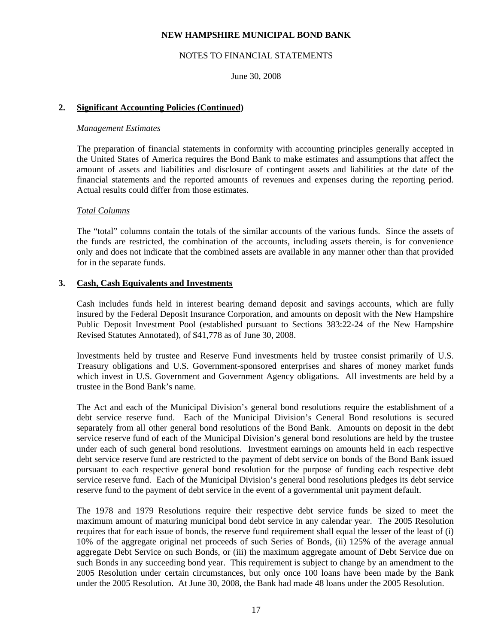## NOTES TO FINANCIAL STATEMENTS

June 30, 2008

# **2. Significant Accounting Policies (Continued)**

#### *Management Estimates*

 The preparation of financial statements in conformity with accounting principles generally accepted in the United States of America requires the Bond Bank to make estimates and assumptions that affect the amount of assets and liabilities and disclosure of contingent assets and liabilities at the date of the financial statements and the reported amounts of revenues and expenses during the reporting period. Actual results could differ from those estimates.

## *Total Columns*

 The "total" columns contain the totals of the similar accounts of the various funds. Since the assets of the funds are restricted, the combination of the accounts, including assets therein, is for convenience only and does not indicate that the combined assets are available in any manner other than that provided for in the separate funds.

## **3. Cash, Cash Equivalents and Investments**

 Cash includes funds held in interest bearing demand deposit and savings accounts, which are fully insured by the Federal Deposit Insurance Corporation, and amounts on deposit with the New Hampshire Public Deposit Investment Pool (established pursuant to Sections 383:22-24 of the New Hampshire Revised Statutes Annotated), of \$41,778 as of June 30, 2008.

 Investments held by trustee and Reserve Fund investments held by trustee consist primarily of U.S. Treasury obligations and U.S. Government-sponsored enterprises and shares of money market funds which invest in U.S. Government and Government Agency obligations. All investments are held by a trustee in the Bond Bank's name.

 The Act and each of the Municipal Division's general bond resolutions require the establishment of a debt service reserve fund. Each of the Municipal Division's General Bond resolutions is secured separately from all other general bond resolutions of the Bond Bank. Amounts on deposit in the debt service reserve fund of each of the Municipal Division's general bond resolutions are held by the trustee under each of such general bond resolutions. Investment earnings on amounts held in each respective debt service reserve fund are restricted to the payment of debt service on bonds of the Bond Bank issued pursuant to each respective general bond resolution for the purpose of funding each respective debt service reserve fund. Each of the Municipal Division's general bond resolutions pledges its debt service reserve fund to the payment of debt service in the event of a governmental unit payment default.

 The 1978 and 1979 Resolutions require their respective debt service funds be sized to meet the maximum amount of maturing municipal bond debt service in any calendar year. The 2005 Resolution requires that for each issue of bonds, the reserve fund requirement shall equal the lesser of the least of (i) 10% of the aggregate original net proceeds of such Series of Bonds, (ii) 125% of the average annual aggregate Debt Service on such Bonds, or (iii) the maximum aggregate amount of Debt Service due on such Bonds in any succeeding bond year. This requirement is subject to change by an amendment to the 2005 Resolution under certain circumstances, but only once 100 loans have been made by the Bank under the 2005 Resolution. At June 30, 2008, the Bank had made 48 loans under the 2005 Resolution.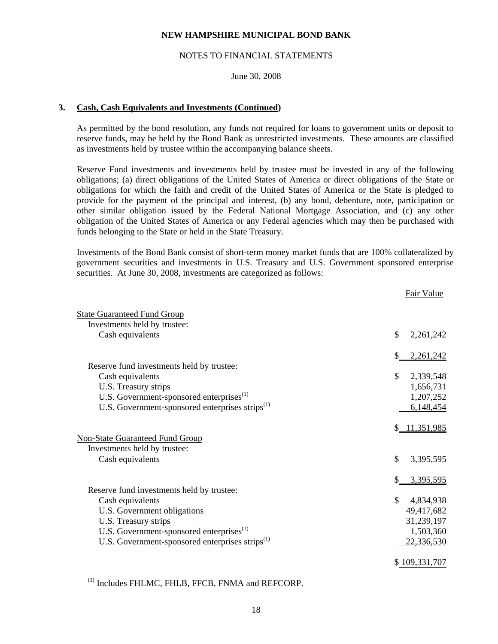#### NOTES TO FINANCIAL STATEMENTS

# June 30, 2008

#### **3. Cash, Cash Equivalents and Investments (Continued)**

 As permitted by the bond resolution, any funds not required for loans to government units or deposit to reserve funds, may be held by the Bond Bank as unrestricted investments. These amounts are classified as investments held by trustee within the accompanying balance sheets.

 Reserve Fund investments and investments held by trustee must be invested in any of the following obligations; (a) direct obligations of the United States of America or direct obligations of the State or obligations for which the faith and credit of the United States of America or the State is pledged to provide for the payment of the principal and interest, (b) any bond, debenture, note, participation or other similar obligation issued by the Federal National Mortgage Association, and (c) any other obligation of the United States of America or any Federal agencies which may then be purchased with funds belonging to the State or held in the State Treasury.

 Investments of the Bond Bank consist of short-term money market funds that are 100% collateralized by government securities and investments in U.S. Treasury and U.S. Government sponsored enterprise securities. At June 30, 2008, investments are categorized as follows:

|                                                             | Fair Value       |
|-------------------------------------------------------------|------------------|
| <b>State Guaranteed Fund Group</b>                          |                  |
| Investments held by trustee:                                |                  |
| Cash equivalents                                            | 2,261,242        |
|                                                             |                  |
|                                                             | 2,261,242        |
| Reserve fund investments held by trustee:                   |                  |
| Cash equivalents                                            | \$<br>2,339,548  |
| U.S. Treasury strips                                        | 1,656,731        |
| U.S. Government-sponsored enterprises <sup>(1)</sup>        | 1,207,252        |
| U.S. Government-sponsored enterprises strips <sup>(1)</sup> | 6,148,454        |
|                                                             | \$11,351,985     |
| <b>Non-State Guaranteed Fund Group</b>                      |                  |
| Investments held by trustee:                                |                  |
| Cash equivalents                                            | 3,395,595<br>\$. |
|                                                             | 3,395,595        |
| Reserve fund investments held by trustee:                   |                  |
| Cash equivalents                                            | \$<br>4,834,938  |
| U.S. Government obligations                                 | 49,417,682       |
| U.S. Treasury strips                                        | 31,239,197       |
| U.S. Government-sponsored enterprises <sup>(1)</sup>        | 1,503,360        |
| U.S. Government-sponsored enterprises strips <sup>(1)</sup> | 22,336,530       |
|                                                             |                  |
|                                                             | \$109,331,707    |
|                                                             |                  |

(1) Includes FHLMC, FHLB, FFCB, FNMA and REFCORP.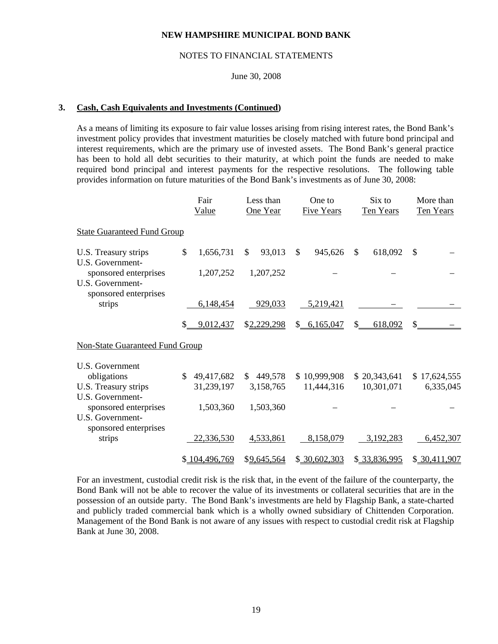#### NOTES TO FINANCIAL STATEMENTS

# June 30, 2008

## **3. Cash, Cash Equivalents and Investments (Continued)**

 As a means of limiting its exposure to fair value losses arising from rising interest rates, the Bond Bank's investment policy provides that investment maturities be closely matched with future bond principal and interest requirements, which are the primary use of invested assets. The Bond Bank's general practice has been to hold all debt securities to their maturity, at which point the funds are needed to make required bond principal and interest payments for the respective resolutions. The following table provides information on future maturities of the Bond Bank's investments as of June 30, 2008:

|                                                               |    | Fair<br>Value |               | Less than<br>One Year |              | One to<br><b>Five Years</b> |     | Six to<br>Ten Years |               | More than<br>Ten Years |
|---------------------------------------------------------------|----|---------------|---------------|-----------------------|--------------|-----------------------------|-----|---------------------|---------------|------------------------|
| <b>State Guaranteed Fund Group</b>                            |    |               |               |                       |              |                             |     |                     |               |                        |
| U.S. Treasury strips                                          | \$ | 1,656,731     | <sup>\$</sup> | 93,013                | $\mathbb{S}$ | 945,626                     | \$. | 618,092             | <sup>\$</sup> |                        |
| U.S. Government-<br>sponsored enterprises<br>U.S. Government- |    | 1,207,252     |               | 1,207,252             |              |                             |     |                     |               |                        |
| sponsored enterprises<br>strips                               |    | 6,148,454     |               | 929,033               |              | 5,219,421                   |     |                     |               |                        |
|                                                               | S. | 9,012,437     |               | \$2,229,298           |              | \$6,165,047                 | \$. | 618,092             | \$            |                        |
| <b>Non-State Guaranteed Fund Group</b>                        |    |               |               |                       |              |                             |     |                     |               |                        |
| U.S. Government                                               |    |               |               |                       |              |                             |     |                     |               |                        |
| obligations                                                   | \$ | 49,417,682    |               | \$449,578             |              | \$10,999,908                |     | \$20,343,641        |               | \$17,624,555           |
| U.S. Treasury strips                                          |    | 31,239,197    |               | 3,158,765             |              | 11,444,316                  |     | 10,301,071          |               | 6,335,045              |
| U.S. Government-<br>sponsored enterprises                     |    | 1,503,360     |               | 1,503,360             |              |                             |     |                     |               |                        |
| U.S. Government-<br>sponsored enterprises                     |    |               |               |                       |              |                             |     |                     |               |                        |
| strips                                                        |    | 22,336,530    |               | 4,533,861             |              | 8,158,079                   |     | 3,192,283           |               | 6,452,307              |
|                                                               |    | \$104,496,769 |               | \$9,645,564           |              | \$30,602,303                |     | \$ 33,836,995       |               | \$30,411,907           |

 For an investment, custodial credit risk is the risk that, in the event of the failure of the counterparty, the Bond Bank will not be able to recover the value of its investments or collateral securities that are in the possession of an outside party. The Bond Bank's investments are held by Flagship Bank, a state-charted and publicly traded commercial bank which is a wholly owned subsidiary of Chittenden Corporation. Management of the Bond Bank is not aware of any issues with respect to custodial credit risk at Flagship Bank at June 30, 2008.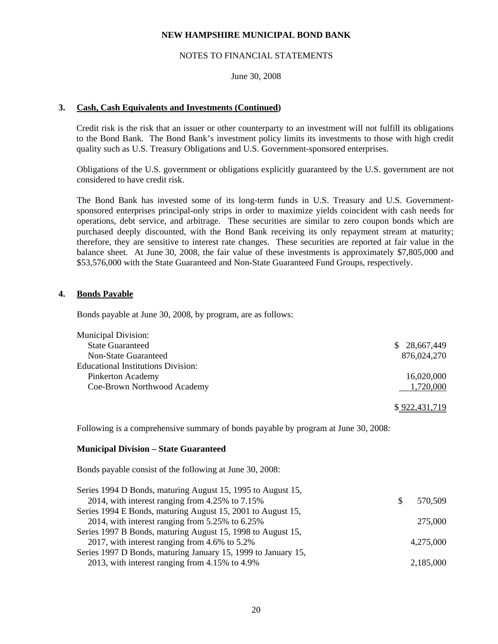## NOTES TO FINANCIAL STATEMENTS

# June 30, 2008

# **3. Cash, Cash Equivalents and Investments (Continued)**

 Credit risk is the risk that an issuer or other counterparty to an investment will not fulfill its obligations to the Bond Bank. The Bond Bank's investment policy limits its investments to those with high credit quality such as U.S. Treasury Obligations and U.S. Government-sponsored enterprises.

 Obligations of the U.S. government or obligations explicitly guaranteed by the U.S. government are not considered to have credit risk.

 The Bond Bank has invested some of its long-term funds in U.S. Treasury and U.S. Governmentsponsored enterprises principal-only strips in order to maximize yields coincident with cash needs for operations, debt service, and arbitrage. These securities are similar to zero coupon bonds which are purchased deeply discounted, with the Bond Bank receiving its only repayment stream at maturity; therefore, they are sensitive to interest rate changes. These securities are reported at fair value in the balance sheet. At June 30, 2008, the fair value of these investments is approximately \$7,805,000 and \$53,576,000 with the State Guaranteed and Non-State Guaranteed Fund Groups, respectively.

## **4. Bonds Payable**

Bonds payable at June 30, 2008, by program, are as follows:

| \$28,667,449 |
|--------------|
| 876,024,270  |
|              |
| 16,020,000   |
| 1,720,000    |
|              |

#### \$ 922,431,719

Following is a comprehensive summary of bonds payable by program at June 30, 2008:

#### **Municipal Division – State Guaranteed**

Bonds payable consist of the following at June 30, 2008:

| Series 1994 D Bonds, maturing August 15, 1995 to August 15,   |     |           |
|---------------------------------------------------------------|-----|-----------|
| 2014, with interest ranging from 4.25% to 7.15%               | \$. | 570,509   |
| Series 1994 E Bonds, maturing August 15, 2001 to August 15,   |     |           |
| 2014, with interest ranging from $5.25\%$ to $6.25\%$         |     | 275,000   |
| Series 1997 B Bonds, maturing August 15, 1998 to August 15,   |     |           |
| 2017, with interest ranging from 4.6% to $5.2\%$              |     | 4,275,000 |
| Series 1997 D Bonds, maturing January 15, 1999 to January 15, |     |           |
| 2013, with interest ranging from 4.15% to 4.9%                |     | 2,185,000 |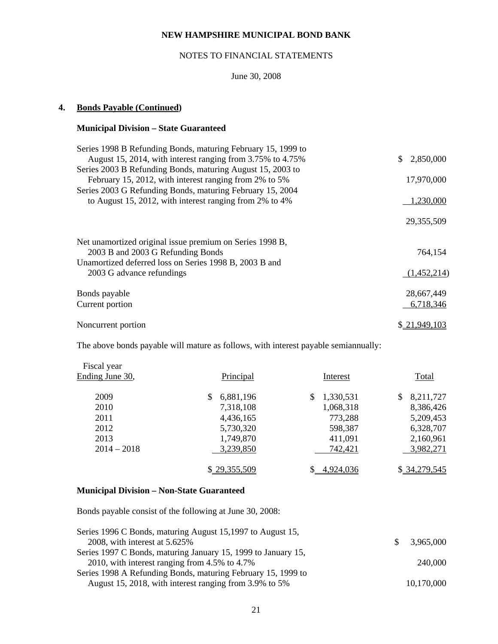# NOTES TO FINANCIAL STATEMENTS

# June 30, 2008

# **4. Bonds Payable (Continued)**

# **Municipal Division – State Guaranteed**

| Series 1998 B Refunding Bonds, maturing February 15, 1999 to |             |
|--------------------------------------------------------------|-------------|
| August 15, 2014, with interest ranging from 3.75% to 4.75%   | 2,850,000   |
| Series 2003 B Refunding Bonds, maturing August 15, 2003 to   |             |
| February 15, 2012, with interest ranging from 2% to 5%       | 17,970,000  |
| Series 2003 G Refunding Bonds, maturing February 15, 2004    |             |
| to August 15, 2012, with interest ranging from 2% to 4%      | 1,230,000   |
|                                                              | 29,355,509  |
| Net unamortized original issue premium on Series 1998 B,     |             |
| 2003 B and 2003 G Refunding Bonds                            | 764.154     |
| Unamortized deferred loss on Series 1998 B, 2003 B and       |             |
| 2003 G advance refundings                                    | (1,452,214) |
| Bonds payable                                                | 28,667,449  |
| Current portion                                              | 6,718,346   |
| Noncurrent portion                                           | 21.949.103  |
|                                                              |             |

The above bonds payable will mature as follows, with interest payable semiannually:

| Fiscal year<br>Ending June 30, | Principal    | Interest       | Total           |
|--------------------------------|--------------|----------------|-----------------|
| 2009                           | 6,881,196    | 1,330,531<br>S | 8,211,727<br>\$ |
| 2010                           | 7,318,108    | 1,068,318      | 8,386,426       |
| 2011                           | 4,436,165    | 773,288        | 5,209,453       |
| 2012                           | 5,730,320    | 598,387        | 6,328,707       |
| 2013                           | 1,749,870    | 411,091        | 2,160,961       |
| $2014 - 2018$                  | 3,239,850    | 742,421        | 3,982,271       |
|                                | \$29,355,509 | 4,924,036      | \$ 34,279,545   |

# **Municipal Division – Non-State Guaranteed**

Bonds payable consist of the following at June 30, 2008:

| Series 1996 C Bonds, maturing August 15,1997 to August 15,    |             |
|---------------------------------------------------------------|-------------|
| 2008, with interest at 5.625%                                 | \$3,965,000 |
| Series 1997 C Bonds, maturing January 15, 1999 to January 15, |             |
| 2010, with interest ranging from 4.5% to 4.7%                 | 240,000     |
| Series 1998 A Refunding Bonds, maturing February 15, 1999 to  |             |
| August 15, 2018, with interest ranging from 3.9% to 5%        | 10,170,000  |
|                                                               |             |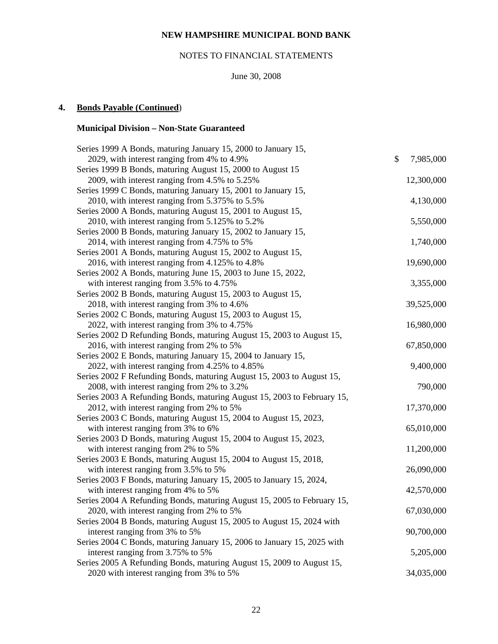# NOTES TO FINANCIAL STATEMENTS

# June 30, 2008

# **4. Bonds Payable (Continued**)

# **Municipal Division – Non-State Guaranteed**

| Series 1999 A Bonds, maturing January 15, 2000 to January 15,           |                 |
|-------------------------------------------------------------------------|-----------------|
| 2029, with interest ranging from 4% to 4.9%                             | \$<br>7,985,000 |
| Series 1999 B Bonds, maturing August 15, 2000 to August 15              |                 |
| 2009, with interest ranging from 4.5% to 5.25%                          | 12,300,000      |
| Series 1999 C Bonds, maturing January 15, 2001 to January 15,           |                 |
| 2010, with interest ranging from 5.375% to 5.5%                         | 4,130,000       |
| Series 2000 A Bonds, maturing August 15, 2001 to August 15,             |                 |
| 2010, with interest ranging from 5.125% to 5.2%                         | 5,550,000       |
| Series 2000 B Bonds, maturing January 15, 2002 to January 15,           |                 |
| 2014, with interest ranging from 4.75% to 5%                            | 1,740,000       |
| Series 2001 A Bonds, maturing August 15, 2002 to August 15,             |                 |
| 2016, with interest ranging from 4.125% to 4.8%                         | 19,690,000      |
| Series 2002 A Bonds, maturing June 15, 2003 to June 15, 2022,           |                 |
| with interest ranging from 3.5% to 4.75%                                | 3,355,000       |
| Series 2002 B Bonds, maturing August 15, 2003 to August 15,             |                 |
| 2018, with interest ranging from 3% to 4.6%                             | 39,525,000      |
| Series 2002 C Bonds, maturing August 15, 2003 to August 15,             |                 |
| 2022, with interest ranging from 3% to 4.75%                            | 16,980,000      |
| Series 2002 D Refunding Bonds, maturing August 15, 2003 to August 15,   |                 |
| 2016, with interest ranging from 2% to 5%                               | 67,850,000      |
| Series 2002 E Bonds, maturing January 15, 2004 to January 15,           |                 |
| 2022, with interest ranging from 4.25% to 4.85%                         | 9,400,000       |
| Series 2002 F Refunding Bonds, maturing August 15, 2003 to August 15,   |                 |
| 2008, with interest ranging from 2% to 3.2%                             | 790,000         |
| Series 2003 A Refunding Bonds, maturing August 15, 2003 to February 15, |                 |
| 2012, with interest ranging from 2% to 5%                               | 17,370,000      |
| Series 2003 C Bonds, maturing August 15, 2004 to August 15, 2023,       |                 |
| with interest ranging from 3% to 6%                                     | 65,010,000      |
| Series 2003 D Bonds, maturing August 15, 2004 to August 15, 2023,       |                 |
| with interest ranging from 2% to 5%                                     | 11,200,000      |
| Series 2003 E Bonds, maturing August 15, 2004 to August 15, 2018,       |                 |
| with interest ranging from 3.5% to 5%                                   | 26,090,000      |
| Series 2003 F Bonds, maturing January 15, 2005 to January 15, 2024,     |                 |
| with interest ranging from 4% to 5%                                     | 42,570,000      |
| Series 2004 A Refunding Bonds, maturing August 15, 2005 to February 15, |                 |
| 2020, with interest ranging from 2% to 5%                               | 67,030,000      |
| Series 2004 B Bonds, maturing August 15, 2005 to August 15, 2024 with   |                 |
| interest ranging from 3% to 5%                                          | 90,700,000      |
| Series 2004 C Bonds, maturing January 15, 2006 to January 15, 2025 with |                 |
| interest ranging from 3.75% to 5%                                       | 5,205,000       |
| Series 2005 A Refunding Bonds, maturing August 15, 2009 to August 15,   |                 |
| 2020 with interest ranging from 3% to 5%                                | 34,035,000      |
|                                                                         |                 |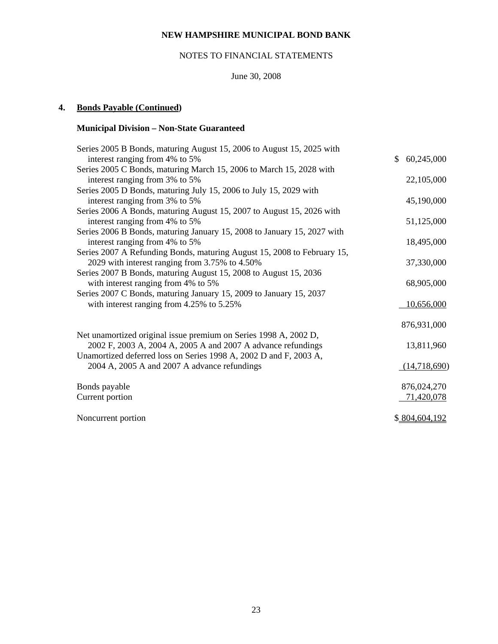# NOTES TO FINANCIAL STATEMENTS

# June 30, 2008

# **4. Bonds Payable (Continued)**

# **Municipal Division – Non-State Guaranteed**

| Series 2005 B Bonds, maturing August 15, 2006 to August 15, 2025 with<br>interest ranging from 4% to 5% | \$<br>60,245,000 |
|---------------------------------------------------------------------------------------------------------|------------------|
| Series 2005 C Bonds, maturing March 15, 2006 to March 15, 2028 with                                     |                  |
| interest ranging from 3% to 5%                                                                          | 22,105,000       |
| Series 2005 D Bonds, maturing July 15, 2006 to July 15, 2029 with                                       |                  |
| interest ranging from 3% to 5%                                                                          | 45,190,000       |
| Series 2006 A Bonds, maturing August 15, 2007 to August 15, 2026 with                                   |                  |
| interest ranging from 4% to 5%                                                                          | 51,125,000       |
| Series 2006 B Bonds, maturing January 15, 2008 to January 15, 2027 with                                 |                  |
| interest ranging from 4% to 5%                                                                          | 18,495,000       |
| Series 2007 A Refunding Bonds, maturing August 15, 2008 to February 15,                                 |                  |
| 2029 with interest ranging from 3.75% to 4.50%                                                          | 37,330,000       |
| Series 2007 B Bonds, maturing August 15, 2008 to August 15, 2036                                        |                  |
| with interest ranging from 4% to 5%                                                                     | 68,905,000       |
| Series 2007 C Bonds, maturing January 15, 2009 to January 15, 2037                                      |                  |
| with interest ranging from $4.25\%$ to $5.25\%$                                                         | 10,656,000       |
|                                                                                                         | 876,931,000      |
| Net unamortized original issue premium on Series 1998 A, 2002 D,                                        |                  |
| 2002 F, 2003 A, 2004 A, 2005 A and 2007 A advance refundings                                            | 13,811,960       |
| Unamortized deferred loss on Series 1998 A, 2002 D and F, 2003 A,                                       |                  |
| 2004 A, 2005 A and 2007 A advance refundings                                                            | (14,718,690)     |
| Bonds payable                                                                                           | 876,024,270      |
| Current portion                                                                                         | 71,420,078       |
| Noncurrent portion                                                                                      | \$804,604,192    |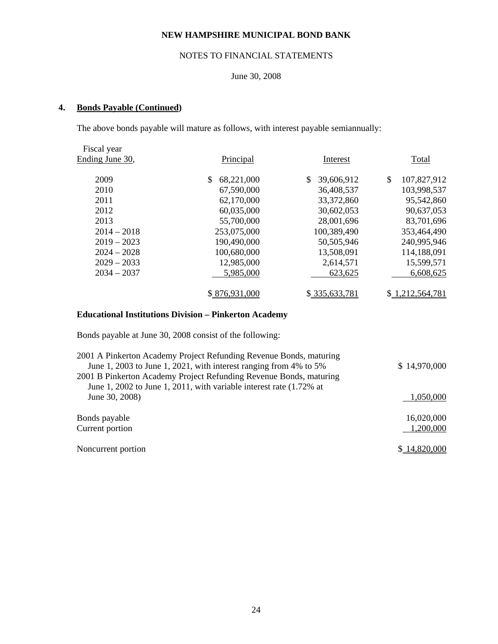# NOTES TO FINANCIAL STATEMENTS

# June 30, 2008

# **4. Bonds Payable (Continued)**

The above bonds payable will mature as follows, with interest payable semiannually:

| Fiscal year     |                   |                  |                   |
|-----------------|-------------------|------------------|-------------------|
| Ending June 30, | Principal         | Interest         | Total             |
|                 |                   |                  |                   |
| 2009            | 68,221,000<br>\$. | 39,606,912<br>\$ | \$<br>107,827,912 |
| 2010            | 67,590,000        | 36,408,537       | 103,998,537       |
| 2011            | 62,170,000        | 33, 372, 860     | 95,542,860        |
| 2012            | 60,035,000        | 30,602,053       | 90,637,053        |
| 2013            | 55,700,000        | 28,001,696       | 83,701,696        |
| $2014 - 2018$   | 253,075,000       | 100,389,490      | 353,464,490       |
| $2019 - 2023$   | 190,490,000       | 50,505,946       | 240,995,946       |
| $2024 - 2028$   | 100,680,000       | 13,508,091       | 114,188,091       |
| $2029 - 2033$   | 12,985,000        | 2,614,571        | 15,599,571        |
| $2034 - 2037$   | 5,985,000         | 623,625          | 6,608,625         |
|                 |                   |                  |                   |
|                 | \$876,931,000     | \$335,633,781    | \$1,212,564,781   |
|                 |                   |                  |                   |

# **Educational Institutions Division – Pinkerton Academy**

Bonds payable at June 30, 2008 consist of the following:

| 2001 A Pinkerton Academy Project Refunding Revenue Bonds, maturing  |              |
|---------------------------------------------------------------------|--------------|
| June 1, 2003 to June 1, 2021, with interest ranging from 4% to 5%   | \$14,970,000 |
| 2001 B Pinkerton Academy Project Refunding Revenue Bonds, maturing  |              |
| June 1, 2002 to June 1, 2011, with variable interest rate (1.72% at |              |
| June 30, 2008)                                                      | 1,050,000    |
|                                                                     |              |
| Bonds payable                                                       | 16,020,000   |
| Current portion                                                     | 1,200,000    |
|                                                                     |              |
| Noncurrent portion                                                  | \$14,820,000 |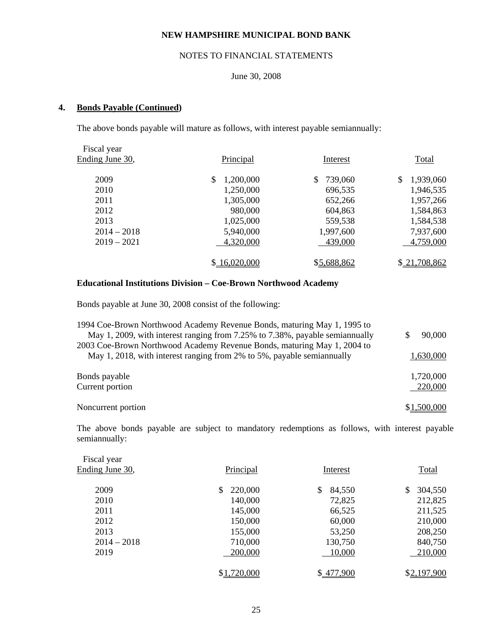# NOTES TO FINANCIAL STATEMENTS

# June 30, 2008

# **4. Bonds Payable (Continued)**

The above bonds payable will mature as follows, with interest payable semiannually:

| Fiscal year     |                |               |                 |
|-----------------|----------------|---------------|-----------------|
| Ending June 30, | Principal      | Interest      | Total           |
| 2009            | S<br>1,200,000 | \$<br>739,060 | \$<br>1,939,060 |
| 2010            | 1,250,000      | 696,535       | 1,946,535       |
| 2011            | 1,305,000      | 652,266       | 1,957,266       |
| 2012            | 980,000        | 604,863       | 1,584,863       |
| 2013            | 1,025,000      | 559,538       | 1,584,538       |
| $2014 - 2018$   | 5,940,000      | 1,997,600     | 7,937,600       |
| $2019 - 2021$   | 4,320,000      | 439,000       | 4,759,000       |
|                 | \$16,020,000   | \$5,688,862   | \$21,708,862    |

## **Educational Institutions Division – Coe-Brown Northwood Academy**

Bonds payable at June 30, 2008 consist of the following:

| 1994 Coe-Brown Northwood Academy Revenue Bonds, maturing May 1, 1995 to<br>May 1, 2009, with interest ranging from 7.25% to 7.38%, payable semiannually | 90,000      |
|---------------------------------------------------------------------------------------------------------------------------------------------------------|-------------|
| 2003 Coe-Brown Northwood Academy Revenue Bonds, maturing May 1, 2004 to                                                                                 |             |
| May 1, 2018, with interest ranging from 2% to 5%, payable semiannually                                                                                  | 1,630,000   |
| Bonds payable                                                                                                                                           | 1,720,000   |
| Current portion                                                                                                                                         | 220,000     |
| Noncurrent portion                                                                                                                                      | \$1,500,000 |
|                                                                                                                                                         |             |

 The above bonds payable are subject to mandatory redemptions as follows, with interest payable semiannually:

| Fiscal year     |             |              |             |
|-----------------|-------------|--------------|-------------|
| Ending June 30, | Principal   | Interest     | Total       |
| 2009            | \$          |              | \$          |
|                 | 220,000     | \$<br>84,550 | 304,550     |
| 2010            | 140,000     | 72,825       | 212,825     |
| 2011            | 145,000     | 66,525       | 211,525     |
| 2012            | 150,000     | 60,000       | 210,000     |
| 2013            | 155,000     | 53,250       | 208,250     |
| $2014 - 2018$   | 710,000     | 130,750      | 840,750     |
| 2019            | 200,000     | 10,000       | 210,000     |
|                 |             |              |             |
|                 | \$1,720,000 | \$477,900    | \$2,197,900 |